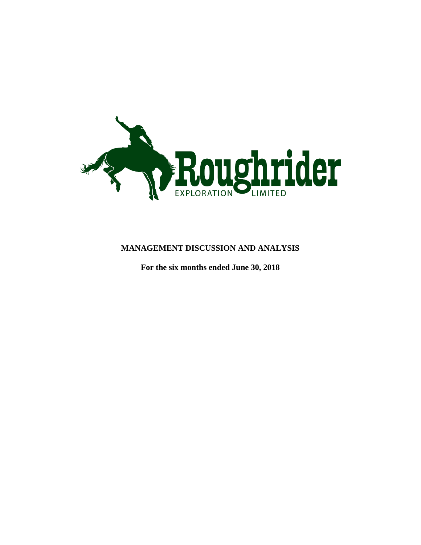

## **MANAGEMENT DISCUSSION AND ANALYSIS**

**For the six months ended June 30, 2018**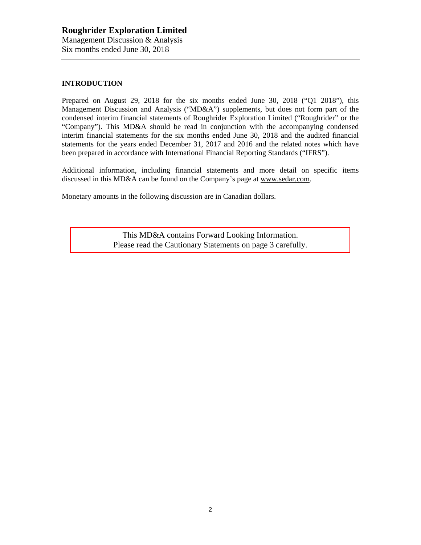## **INTRODUCTION**

Prepared on August 29, 2018 for the six months ended June 30, 2018 ("Q1 2018"), this Management Discussion and Analysis ("MD&A") supplements, but does not form part of the condensed interim financial statements of Roughrider Exploration Limited ("Roughrider" or the "Company"). This MD&A should be read in conjunction with the accompanying condensed interim financial statements for the six months ended June 30, 2018 and the audited financial statements for the years ended December 31, 2017 and 2016 and the related notes which have been prepared in accordance with International Financial Reporting Standards ("IFRS").

Additional information, including financial statements and more detail on specific items discussed in this MD&A can be found on the Company's page at [www.sedar.com.](http://www.sedar.com/)

Monetary amounts in the following discussion are in Canadian dollars.

This MD&A contains Forward Looking Information. Please read the Cautionary Statements on page 3 carefully.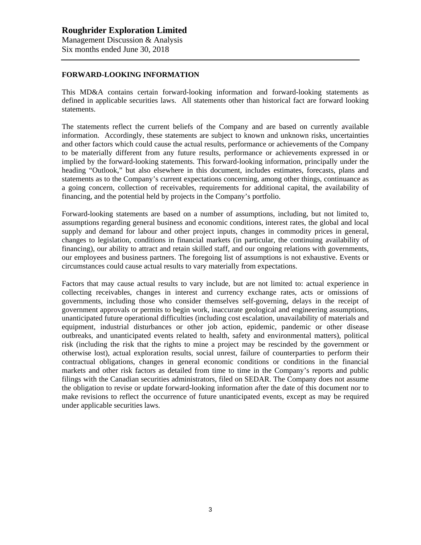#### **FORWARD-LOOKING INFORMATION**

This MD&A contains certain forward-looking information and forward-looking statements as defined in applicable securities laws. All statements other than historical fact are forward looking statements.

The statements reflect the current beliefs of the Company and are based on currently available information. Accordingly, these statements are subject to known and unknown risks, uncertainties and other factors which could cause the actual results, performance or achievements of the Company to be materially different from any future results, performance or achievements expressed in or implied by the forward-looking statements. This forward-looking information, principally under the heading "Outlook," but also elsewhere in this document, includes estimates, forecasts, plans and statements as to the Company's current expectations concerning, among other things, continuance as a going concern, collection of receivables, requirements for additional capital, the availability of financing, and the potential held by projects in the Company's portfolio.

Forward-looking statements are based on a number of assumptions, including, but not limited to, assumptions regarding general business and economic conditions, interest rates, the global and local supply and demand for labour and other project inputs, changes in commodity prices in general, changes to legislation, conditions in financial markets (in particular, the continuing availability of financing), our ability to attract and retain skilled staff, and our ongoing relations with governments, our employees and business partners. The foregoing list of assumptions is not exhaustive. Events or circumstances could cause actual results to vary materially from expectations.

Factors that may cause actual results to vary include, but are not limited to: actual experience in collecting receivables, changes in interest and currency exchange rates, acts or omissions of governments, including those who consider themselves self-governing, delays in the receipt of government approvals or permits to begin work, inaccurate geological and engineering assumptions, unanticipated future operational difficulties (including cost escalation, unavailability of materials and equipment, industrial disturbances or other job action, epidemic, pandemic or other disease outbreaks, and unanticipated events related to health, safety and environmental matters), political risk (including the risk that the rights to mine a project may be rescinded by the government or otherwise lost), actual exploration results, social unrest, failure of counterparties to perform their contractual obligations, changes in general economic conditions or conditions in the financial markets and other risk factors as detailed from time to time in the Company's reports and public filings with the Canadian securities administrators, filed on SEDAR. The Company does not assume the obligation to revise or update forward-looking information after the date of this document nor to make revisions to reflect the occurrence of future unanticipated events, except as may be required under applicable securities laws.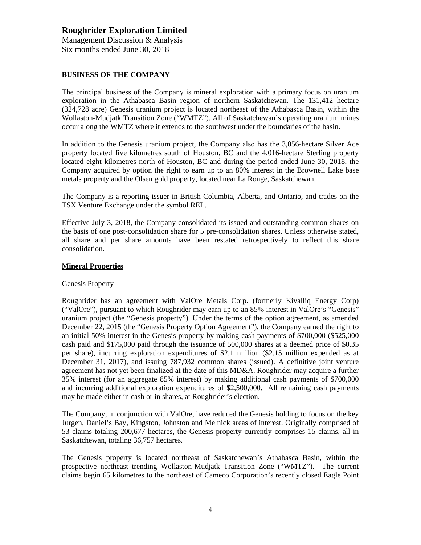### **BUSINESS OF THE COMPANY**

The principal business of the Company is mineral exploration with a primary focus on uranium exploration in the Athabasca Basin region of northern Saskatchewan. The 131,412 hectare (324,728 acre) Genesis uranium project is located northeast of the Athabasca Basin, within the Wollaston-Mudjatk Transition Zone ("WMTZ"). All of Saskatchewan's operating uranium mines occur along the WMTZ where it extends to the southwest under the boundaries of the basin.

In addition to the Genesis uranium project, the Company also has the 3,056-hectare Silver Ace property located five kilometres south of Houston, BC and the 4,016-hectare Sterling property located eight kilometres north of Houston, BC and during the period ended June 30, 2018, the Company acquired by option the right to earn up to an 80% interest in the Brownell Lake base metals property and the Olsen gold property, located near La Ronge, Saskatchewan.

The Company is a reporting issuer in British Columbia, Alberta, and Ontario, and trades on the TSX Venture Exchange under the symbol REL.

Effective July 3, 2018, the Company consolidated its issued and outstanding common shares on the basis of one post-consolidation share for 5 pre-consolidation shares. Unless otherwise stated, all share and per share amounts have been restated retrospectively to reflect this share consolidation.

#### **Mineral Properties**

#### Genesis Property

Roughrider has an agreement with ValOre Metals Corp. (formerly Kivalliq Energy Corp) ("ValOre"), pursuant to which Roughrider may earn up to an 85% interest in ValOre's "Genesis" uranium project (the "Genesis property"). Under the terms of the option agreement, as amended December 22, 2015 (the "Genesis Property Option Agreement"), the Company earned the right to an initial 50% interest in the Genesis property by making cash payments of \$700,000 (\$525,000 cash paid and \$175,000 paid through the issuance of 500,000 shares at a deemed price of \$0.35 per share), incurring exploration expenditures of \$2.1 million (\$2.15 million expended as at December 31, 2017), and issuing 787,932 common shares (issued). A definitive joint venture agreement has not yet been finalized at the date of this MD&A. Roughrider may acquire a further 35% interest (for an aggregate 85% interest) by making additional cash payments of \$700,000 and incurring additional exploration expenditures of \$2,500,000. All remaining cash payments may be made either in cash or in shares, at Roughrider's election.

The Company, in conjunction with ValOre, have reduced the Genesis holding to focus on the key Jurgen, Daniel's Bay, Kingston, Johnston and Melnick areas of interest. Originally comprised of 53 claims totaling 200,677 hectares, the Genesis property currently comprises 15 claims, all in Saskatchewan, totaling 36,757 hectares.

The Genesis property is located northeast of Saskatchewan's Athabasca Basin, within the prospective northeast trending Wollaston-Mudjatk Transition Zone ("WMTZ"). The current claims begin 65 kilometres to the northeast of Cameco Corporation's recently closed Eagle Point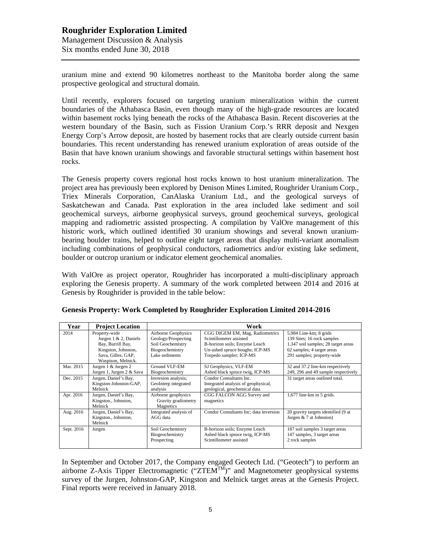uranium mine and extend 90 kilometres northeast to the Manitoba border along the same prospective geological and structural domain.

Until recently, explorers focused on targeting uranium mineralization within the current boundaries of the Athabasca Basin, even though many of the high-grade resources are located within basement rocks lying beneath the rocks of the Athabasca Basin. Recent discoveries at the western boundary of the Basin, such as Fission Uranium Corp.'s RRR deposit and Nexgen Energy Corp's Arrow deposit, are hosted by basement rocks that are clearly outside current basin boundaries. This recent understanding has renewed uranium exploration of areas outside of the Basin that have known uranium showings and favorable structural settings within basement host rocks.

The Genesis property covers regional host rocks known to host uranium mineralization. The project area has previously been explored by Denison Mines Limited, Roughrider Uranium Corp., Triex Minerals Corporation, CanAlaska Uranium Ltd., and the geological surveys of Saskatchewan and Canada. Past exploration in the area included lake sediment and soil geochemical surveys, airborne geophysical surveys, ground geochemical surveys, geological mapping and radiometric assisted prospecting. A compilation by ValOre management of this historic work, which outlined identified 30 uranium showings and several known uraniumbearing boulder trains, helped to outline eight target areas that display multi-variant anomalism including combinations of geophysical conductors, radiometrics and/or existing lake sediment, boulder or outcrop uranium or indicator element geochemical anomalies.

With ValOre as project operator, Roughrider has incorporated a multi-disciplinary approach exploring the Genesis property. A summary of the work completed between 2014 and 2016 at Genesis by Roughrider is provided in the table below:

| Year       | <b>Project Location</b>                                                                                                            | Work                                                                                                 |                                                                                                                                                          |                                                                                                                                                         |  |
|------------|------------------------------------------------------------------------------------------------------------------------------------|------------------------------------------------------------------------------------------------------|----------------------------------------------------------------------------------------------------------------------------------------------------------|---------------------------------------------------------------------------------------------------------------------------------------------------------|--|
| 2014       | Property-wide<br>Jurgen $1 \& 2$ , Daniels<br>Bay, Burrill Bay,<br>Kingston, Johnston,<br>Sava, Gilles, GAP,<br>Waspison, Melnick. | Airborne Geophysics<br>Geology/Prospecting<br>Soil Geochemistry<br>Biogeochemistry<br>Lake sediments | CGG DIGEM EM, Mag, Radiometrics<br>Scintillometer assisted<br>B-horizon soils; Enzyme Leach<br>Un-ashed spruce boughs; ICP-MS<br>Torpedo sampler; ICP-MS | 5,984 Line-km; 8 grids<br>139 Sites; 16 rock samples<br>1,347 soil samples; 28 target areas<br>62 samples; 4 target areas<br>291 samples; property-wide |  |
| Mar. 2015  | Jurgen 1 & Jurgen 2<br>Jurgen 1, Jurgen 2 & Sava                                                                                   | Ground VLF-EM<br>Biogeochemistry                                                                     | SJ Geophysics, VLF-EM<br>Ashed black spruce twig, ICP-MS                                                                                                 | 32 and 37.2 line-km respectively<br>249, 296 and 49 sample respectively                                                                                 |  |
| Dec. 2015  | Jurgen, Daniel's Bay,<br>Kingston-Johnston-GAP,<br>Melnick                                                                         | Inversion analysis;<br>GeoInterp integrated<br>analysis                                              | Condor Consultants Inc.<br>Integrated analysis of geophysical,<br>geological, geochemical data                                                           | 31 target areas outlined total.                                                                                                                         |  |
| Apr. 2016  | Jurgen, Daniel's Bay,<br>Kingston., Johnston,<br>Melnick                                                                           | Airborne geophysics<br>Gravity gradiometry<br>Magnetics                                              | CGG FALCON AGG Survey and<br>magnetics                                                                                                                   | $1,677$ line-km in 5 grids.                                                                                                                             |  |
| Aug. 2016  | Jurgen, Daniel's Bay,<br>Kingston., Johnston,<br>Melnick                                                                           | Integrated analysis of<br>AGG data                                                                   | Condor Consultants Inc; data inversion                                                                                                                   | 20 gravity targets identified (9 at<br>Jurgen $& 7$ at Johnston)                                                                                        |  |
| Sept. 2016 | Jurgen                                                                                                                             | Soil Geochemistry<br>Biogeochemistry<br>Prospecting                                                  | B-horizon soils; Enzyme Leach<br>Ashed black spruce twig, ICP-MS<br>Scintillometer assisted                                                              | 187 soil samples 3 target areas<br>147 samples, 3 target areas<br>2 rock samples                                                                        |  |

|  |  | Genesis Property: Work Completed by Roughrider Exploration Limited 2014-2016 |
|--|--|------------------------------------------------------------------------------|
|  |  |                                                                              |

In September and October 2017, the Company engaged Geotech Ltd. ("Geotech") to perform an airborne Z-Axis Tipper Electromagnetic  $(TZTEM^{TM})$ " and Magnetometer geophysical systems survey of the Jurgen, Johnston-GAP, Kingston and Melnick target areas at the Genesis Project. Final reports were received in January 2018.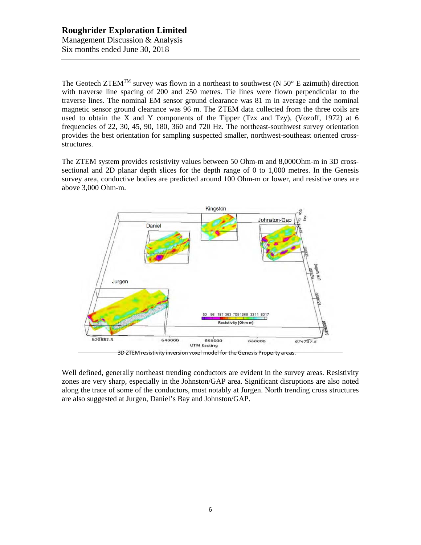The Geotech ZTEM<sup>TM</sup> survey was flown in a northeast to southwest (N  $50^{\circ}$  E azimuth) direction with traverse line spacing of 200 and 250 metres. Tie lines were flown perpendicular to the traverse lines. The nominal EM sensor ground clearance was 81 m in average and the nominal magnetic sensor ground clearance was 96 m. The ZTEM data collected from the three coils are used to obtain the X and Y components of the Tipper (Tzx and Tzy), (Vozoff, 1972) at 6 frequencies of 22, 30, 45, 90, 180, 360 and 720 Hz. The northeast-southwest survey orientation provides the best orientation for sampling suspected smaller, northwest-southeast oriented crossstructures.

The ZTEM system provides resistivity values between 50 Ohm-m and 8,000Ohm-m in 3D crosssectional and 2D planar depth slices for the depth range of 0 to 1,000 metres. In the Genesis survey area, conductive bodies are predicted around 100 Ohm-m or lower, and resistive ones are above 3,000 Ohm-m.



3D ZTEM resistivity inversion voxel model for the Genesis Property areas.

Well defined, generally northeast trending conductors are evident in the survey areas. Resistivity zones are very sharp, especially in the Johnston/GAP area. Significant disruptions are also noted along the trace of some of the conductors, most notably at Jurgen. North trending cross structures are also suggested at Jurgen, Daniel's Bay and Johnston/GAP.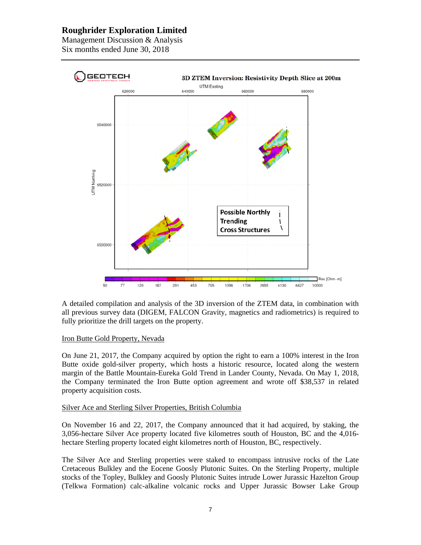Management Discussion & Analysis Six months ended June 30, 2018



A detailed compilation and analysis of the 3D inversion of the ZTEM data, in combination with all previous survey data (DIGEM, FALCON Gravity, magnetics and radiometrics) is required to fully prioritize the drill targets on the property.

#### Iron Butte Gold Property, Nevada

On June 21, 2017, the Company acquired by option the right to earn a 100% interest in the Iron Butte oxide gold-silver property, which hosts a historic resource, located along the western margin of the Battle Mountain-Eureka Gold Trend in Lander County, Nevada. On May 1, 2018, the Company terminated the Iron Butte option agreement and wrote off \$38,537 in related property acquisition costs.

#### Silver Ace and Sterling Silver Properties, British Columbia

On November 16 and 22, 2017, the Company announced that it had acquired, by staking, the 3,056-hectare Silver Ace property located five kilometres south of Houston, BC and the 4,016 hectare Sterling property located eight kilometres north of Houston, BC, respectively.

The Silver Ace and Sterling properties were staked to encompass intrusive rocks of the Late Cretaceous Bulkley and the Eocene Goosly Plutonic Suites. On the Sterling Property, multiple stocks of the Topley, Bulkley and Goosly Plutonic Suites intrude Lower Jurassic Hazelton Group (Telkwa Formation) calc-alkaline volcanic rocks and Upper Jurassic Bowser Lake Group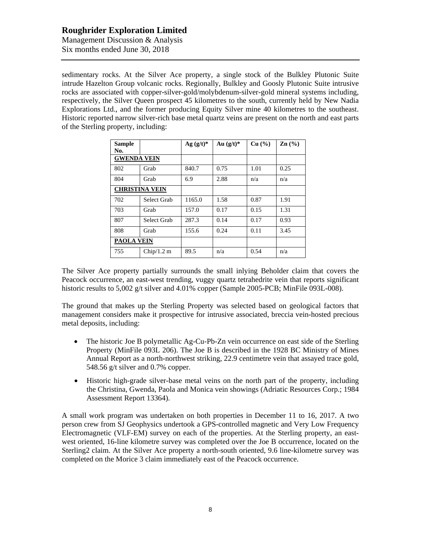Management Discussion & Analysis Six months ended June 30, 2018

sedimentary rocks. At the Silver Ace property, a single stock of the Bulkley Plutonic Suite intrude Hazelton Group volcanic rocks. Regionally, Bulkley and Goosly Plutonic Suite intrusive rocks are associated with copper-silver-gold/molybdenum-silver-gold mineral systems including, respectively, the Silver Queen prospect 45 kilometres to the south, currently held by New Nadia Explorations Ltd., and the former producing Equity Silver mine 40 kilometres to the southeast. Historic reported narrow silver-rich base metal quartz veins are present on the north and east parts of the Sterling property, including:

| <b>Sample</b><br>No.  |             | Ag $(g/t)^*$ | Au $(g/t)^*$ | Cu (%) | $\text{Zn}$ (%) |
|-----------------------|-------------|--------------|--------------|--------|-----------------|
| <b>GWENDA VEIN</b>    |             |              |              |        |                 |
| 802                   | Grab        | 840.7        | 0.75         | 1.01   | 0.25            |
| 804                   | Grab        | 6.9          | 2.88         | n/a    | n/a             |
| <b>CHRISTINA VEIN</b> |             |              |              |        |                 |
| 702                   | Select Grab | 1165.0       | 1.58         | 0.87   | 1.91            |
| 703                   | Grab        | 157.0        | 0.17         | 0.15   | 1.31            |
| 807                   | Select Grab | 287.3        | 0.14         | 0.17   | 0.93            |
| 808                   | Grab        | 155.6        | 0.24         | 0.11   | 3.45            |
| <b>PAOLA VEIN</b>     |             |              |              |        |                 |
| 755                   | Chip/1.2 m  | 89.5         | n/a          | 0.54   | n/a             |

The Silver Ace property partially surrounds the small inlying Beholder claim that covers the Peacock occurrence, an east-west trending, vuggy quartz tetrahedrite vein that reports significant historic results to 5,002 g/t silver and 4,01% copper (Sample 2005-PCB; MinFile 093L-008).

The ground that makes up the Sterling Property was selected based on geological factors that management considers make it prospective for intrusive associated, breccia vein-hosted precious metal deposits, including:

- The historic Joe B polymetallic Ag-Cu-Pb-Zn vein occurrence on east side of the Sterling Property (MinFile 093L 206). The Joe B is described in the 1928 BC Ministry of Mines Annual Report as a north-northwest striking, 22.9 centimetre vein that assayed trace gold, 548.56 g/t silver and 0.7% copper.
- Historic high-grade silver-base metal veins on the north part of the property, including the Christina, Gwenda, Paola and Monica vein showings (Adriatic Resources Corp.; 1984 Assessment Report 13364).

A small work program was undertaken on both properties in December 11 to 16, 2017. A two person crew from SJ Geophysics undertook a GPS-controlled magnetic and Very Low Frequency Electromagnetic (VLF-EM) survey on each of the properties. At the Sterling property, an eastwest oriented, 16-line kilometre survey was completed over the Joe B occurrence, located on the Sterling2 claim. At the Silver Ace property a north-south oriented, 9.6 line-kilometre survey was completed on the Morice 3 claim immediately east of the Peacock occurrence.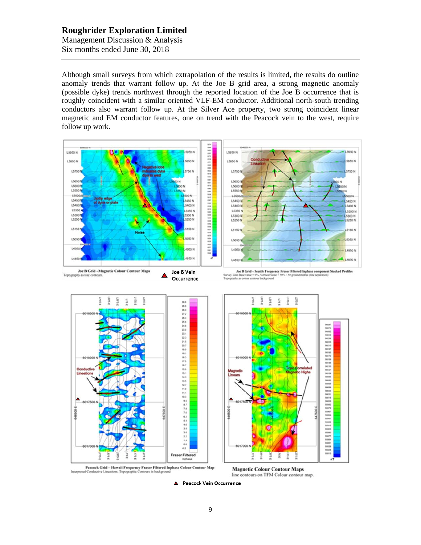Management Discussion & Analysis Six months ended June 30, 2018

Although small surveys from which extrapolation of the results is limited, the results do outline anomaly trends that warrant follow up. At the Joe B grid area, a strong magnetic anomaly (possible dyke) trends northwest through the reported location of the Joe B occurrence that is roughly coincident with a similar oriented VLF-EM conductor. Additional north-south trending conductors also warrant follow up. At the Silver Ace property, two strong coincident linear magnetic and EM conductor features, one on trend with the Peacock vein to the west, require follow up work.



▲ Peacock Vein Occurrence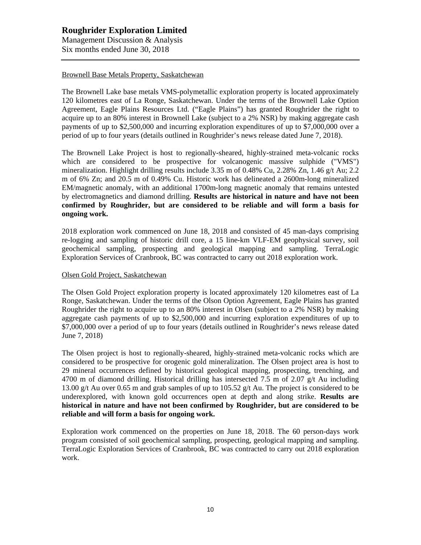### Brownell Base Metals Property, Saskatchewan

The Brownell Lake base metals VMS-polymetallic exploration property is located approximately 120 kilometres east of La Ronge, Saskatchewan. Under the terms of the Brownell Lake Option Agreement, Eagle Plains Resources Ltd. ("Eagle Plains") has granted Roughrider the right to acquire up to an 80% interest in Brownell Lake (subject to a 2% NSR) by making aggregate cash payments of up to \$2,500,000 and incurring exploration expenditures of up to \$7,000,000 over a period of up to four years (details outlined in Roughrider's news release dated June 7, 2018).

The Brownell Lake Project is host to regionally-sheared, highly-strained meta-volcanic rocks which are considered to be prospective for volcanogenic massive sulphide ("VMS") mineralization. Highlight drilling results include 3.35 m of 0.48% Cu, 2.28% Zn, 1.46 g/t Au; 2.2 m of 6% Zn; and 20.5 m of 0.49% Cu. Historic work has delineated a 2600m-long mineralized EM/magnetic anomaly, with an additional 1700m-long magnetic anomaly that remains untested by electromagnetics and diamond drilling. **Results are historical in nature and have not been confirmed by Roughrider, but are considered to be reliable and will form a basis for ongoing work.**

2018 exploration work commenced on June 18, 2018 and consisted of 45 man-days comprising re-logging and sampling of historic drill core, a 15 line-km VLF-EM geophysical survey, soil geochemical sampling, prospecting and geological mapping and sampling. TerraLogic Exploration Services of Cranbrook, BC was contracted to carry out 2018 exploration work.

### Olsen Gold Project, Saskatchewan

The Olsen Gold Project exploration property is located approximately 120 kilometres east of La Ronge, Saskatchewan. Under the terms of the Olson Option Agreement, Eagle Plains has granted Roughrider the right to acquire up to an 80% interest in Olsen (subject to a 2% NSR) by making aggregate cash payments of up to \$2,500,000 and incurring exploration expenditures of up to \$7,000,000 over a period of up to four years (details outlined in Roughrider's news release dated June 7, 2018)

The Olsen project is host to regionally-sheared, highly-strained meta-volcanic rocks which are considered to be prospective for orogenic gold mineralization. The Olsen project area is host to 29 mineral occurrences defined by historical geological mapping, prospecting, trenching, and 4700 m of diamond drilling. Historical drilling has intersected 7.5 m of 2.07  $g/t$  Au including 13.00 g/t Au over 0.65 m and grab samples of up to 105.52 g/t Au. The project is considered to be underexplored, with known gold occurrences open at depth and along strike. **Results are historical in nature and have not been confirmed by Roughrider, but are considered to be reliable and will form a basis for ongoing work.**

Exploration work commenced on the properties on June 18, 2018. The 60 person-days work program consisted of soil geochemical sampling, prospecting, geological mapping and sampling. TerraLogic Exploration Services of Cranbrook, BC was contracted to carry out 2018 exploration work.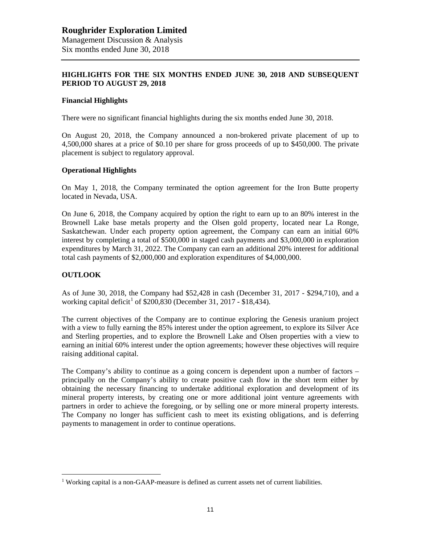## **HIGHLIGHTS FOR THE SIX MONTHS ENDED JUNE 30, 2018 AND SUBSEQUENT PERIOD TO AUGUST 29, 2018**

### **Financial Highlights**

There were no significant financial highlights during the six months ended June 30, 2018.

On August 20, 2018, the Company announced a non-brokered private placement of up to 4,500,000 shares at a price of \$0.10 per share for gross proceeds of up to \$450,000. The private placement is subject to regulatory approval.

#### **Operational Highlights**

On May 1, 2018, the Company terminated the option agreement for the Iron Butte property located in Nevada, USA.

On June 6, 2018, the Company acquired by option the right to earn up to an 80% interest in the Brownell Lake base metals property and the Olsen gold property, located near La Ronge, Saskatchewan. Under each property option agreement, the Company can earn an initial 60% interest by completing a total of \$500,000 in staged cash payments and \$3,000,000 in exploration expenditures by March 31, 2022. The Company can earn an additional 20% interest for additional total cash payments of \$2,000,000 and exploration expenditures of \$4,000,000.

### **OUTLOOK**

As of June 30, 2018, the Company had \$52,428 in cash (December 31, 2017 - \$294,710), and a working capital deficit<sup>[1](#page-10-0)</sup> of \$200,830 (December 31, 2017 - \$18,434).

The current objectives of the Company are to continue exploring the Genesis uranium project with a view to fully earning the 85% interest under the option agreement, to explore its Silver Ace and Sterling properties, and to explore the Brownell Lake and Olsen properties with a view to earning an initial 60% interest under the option agreements; however these objectives will require raising additional capital.

The Company's ability to continue as a going concern is dependent upon a number of factors – principally on the Company's ability to create positive cash flow in the short term either by obtaining the necessary financing to undertake additional exploration and development of its mineral property interests, by creating one or more additional joint venture agreements with partners in order to achieve the foregoing, or by selling one or more mineral property interests. The Company no longer has sufficient cash to meet its existing obligations, and is deferring payments to management in order to continue operations.

<span id="page-10-0"></span><sup>&</sup>lt;sup>1</sup> Working capital is a non-GAAP-measure is defined as current assets net of current liabilities.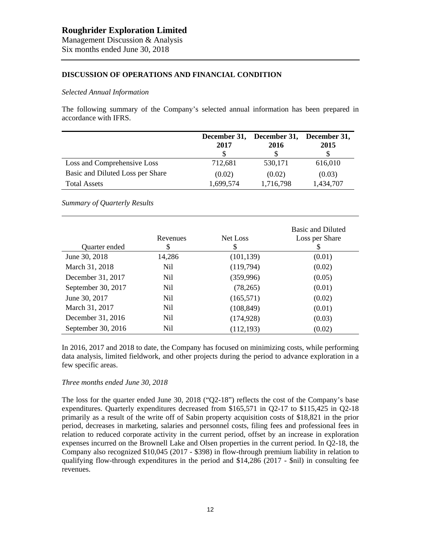### **DISCUSSION OF OPERATIONS AND FINANCIAL CONDITION**

#### *Selected Annual Information*

The following summary of the Company's selected annual information has been prepared in accordance with IFRS.

|                                  | 2017      | December 31, December 31, December 31,<br>2016 | 2015      |
|----------------------------------|-----------|------------------------------------------------|-----------|
| Loss and Comprehensive Loss      | 712,681   | 530,171                                        | 616,010   |
| Basic and Diluted Loss per Share | (0.02)    | (0.02)                                         | (0.03)    |
| <b>Total Assets</b>              | 1,699,574 | 1,716,798                                      | 1,434,707 |

*Summary of Quarterly Results*

| Quarter ended      | Revenues<br>\$ | Net Loss<br>S | <b>Basic and Diluted</b><br>Loss per Share<br>S |
|--------------------|----------------|---------------|-------------------------------------------------|
| June 30, 2018      | 14,286         | (101, 139)    | (0.01)                                          |
| March 31, 2018     | Nil            | (119,794)     | (0.02)                                          |
| December 31, 2017  | Nil            | (359,996)     | (0.05)                                          |
| September 30, 2017 | Nil            | (78, 265)     | (0.01)                                          |
| June 30, 2017      | Nil.           | (165, 571)    | (0.02)                                          |
| March 31, 2017     | Nil            | (108, 849)    | (0.01)                                          |
| December 31, 2016  | Nil.           | (174, 928)    | (0.03)                                          |
| September 30, 2016 | Nil            | (112, 193)    | (0.02)                                          |

In 2016, 2017 and 2018 to date, the Company has focused on minimizing costs, while performing data analysis, limited fieldwork, and other projects during the period to advance exploration in a few specific areas.

### *Three months ended June 30, 2018*

The loss for the quarter ended June 30, 2018 (" $Q2-18$ ") reflects the cost of the Company's base expenditures. Quarterly expenditures decreased from \$165,571 in Q2-17 to \$115,425 in Q2-18 primarily as a result of the write off of Sabin property acquisition costs of \$18,821 in the prior period, decreases in marketing, salaries and personnel costs, filing fees and professional fees in relation to reduced corporate activity in the current period, offset by an increase in exploration expenses incurred on the Brownell Lake and Olsen properties in the current period. In Q2-18, the Company also recognized \$10,045 (2017 - \$398) in flow-through premium liability in relation to qualifying flow-through expenditures in the period and \$14,286 (2017 - \$nil) in consulting fee revenues.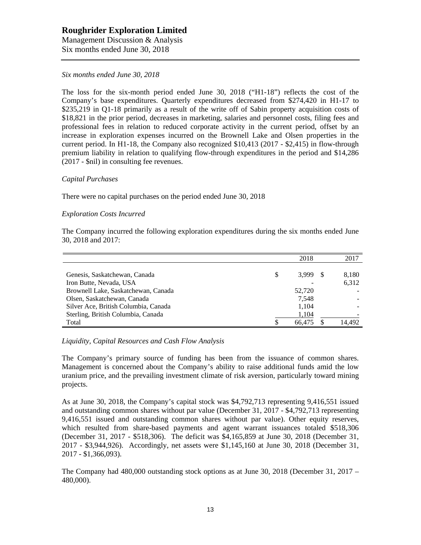Management Discussion & Analysis Six months ended June 30, 2018

### *Six months ended June 30, 2018*

The loss for the six-month period ended June 30, 2018 ("H1-18") reflects the cost of the Company's base expenditures. Quarterly expenditures decreased from \$274,420 in H1-17 to \$235,219 in Q1-18 primarily as a result of the write off of Sabin property acquisition costs of \$18,821 in the prior period, decreases in marketing, salaries and personnel costs, filing fees and professional fees in relation to reduced corporate activity in the current period, offset by an increase in exploration expenses incurred on the Brownell Lake and Olsen properties in the current period. In H1-18, the Company also recognized \$10,413 (2017 - \$2,415) in flow-through premium liability in relation to qualifying flow-through expenditures in the period and \$14,286 (2017 - \$nil) in consulting fee revenues.

### *Capital Purchases*

There were no capital purchases on the period ended June 30, 2018

## *Exploration Costs Incurred*

The Company incurred the following exploration expenditures during the six months ended June 30, 2018 and 2017:

|                                      |   | 2018   | 2017   |
|--------------------------------------|---|--------|--------|
|                                      |   |        |        |
| Genesis, Saskatchewan, Canada        | S | 3.999  | 8,180  |
| Iron Butte, Nevada, USA              |   |        | 6,312  |
| Brownell Lake, Saskatchewan, Canada  |   | 52,720 |        |
| Olsen, Saskatchewan, Canada          |   | 7,548  |        |
| Silver Ace, British Columbia, Canada |   | 1,104  |        |
| Sterling, British Columbia, Canada   |   | 1,104  |        |
| Total                                |   | 66,475 | 14.492 |

## *Liquidity, Capital Resources and Cash Flow Analysis*

The Company's primary source of funding has been from the issuance of common shares. Management is concerned about the Company's ability to raise additional funds amid the low uranium price, and the prevailing investment climate of risk aversion, particularly toward mining projects.

As at June 30, 2018, the Company's capital stock was \$4,792,713 representing 9,416,551 issued and outstanding common shares without par value (December 31, 2017 - \$4,792,713 representing 9,416,551 issued and outstanding common shares without par value). Other equity reserves, which resulted from share-based payments and agent warrant issuances totaled \$518,306 (December 31, 2017 - \$518,306). The deficit was \$4,165,859 at June 30, 2018 (December 31, 2017 - \$3,944,926). Accordingly, net assets were \$1,145,160 at June 30, 2018 (December 31, 2017 - \$1,366,093).

The Company had 480,000 outstanding stock options as at June 30, 2018 (December 31, 2017 – 480,000).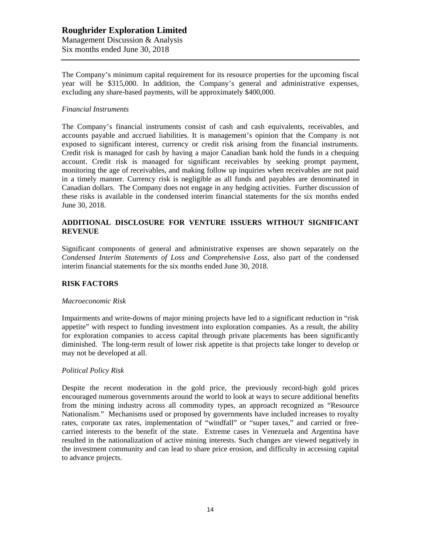## **Roughrider Exploration Limited** Management Discussion & Analysis Six months ended June 30, 2018

The Company's minimum capital requirement for its resource properties for the upcoming fiscal year will be \$315,000. In addition, the Company's general and administrative expenses, excluding any share-based payments, will be approximately \$400,000.

## *Financial Instruments*

The Company's financial instruments consist of cash and cash equivalents, receivables, and accounts payable and accrued liabilities. It is management's opinion that the Company is not exposed to significant interest, currency or credit risk arising from the financial instruments. Credit risk is managed for cash by having a major Canadian bank hold the funds in a chequing account. Credit risk is managed for significant receivables by seeking prompt payment, monitoring the age of receivables, and making follow up inquiries when receivables are not paid in a timely manner. Currency risk is negligible as all funds and payables are denominated in Canadian dollars. The Company does not engage in any hedging activities. Further discussion of these risks is available in the condensed interim financial statements for the six months ended June 30, 2018.

## **ADDITIONAL DISCLOSURE FOR VENTURE ISSUERS WITHOUT SIGNIFICANT REVENUE**

Significant components of general and administrative expenses are shown separately on the *Condensed Interim Statements of Loss and Comprehensive Loss,* also part of the condensed interim financial statements for the six months ended June 30, 2018.

## **RISK FACTORS**

### *Macroeconomic Risk*

Impairments and write-downs of major mining projects have led to a significant reduction in "risk appetite" with respect to funding investment into exploration companies. As a result, the ability for exploration companies to access capital through private placements has been significantly diminished. The long-term result of lower risk appetite is that projects take longer to develop or may not be developed at all.

### *Political Policy Risk*

Despite the recent moderation in the gold price, the previously record-high gold prices encouraged numerous governments around the world to look at ways to secure additional benefits from the mining industry across all commodity types, an approach recognized as "Resource Nationalism." Mechanisms used or proposed by governments have included increases to royalty rates, corporate tax rates, implementation of "windfall" or "super taxes," and carried or freecarried interests to the benefit of the state. Extreme cases in Venezuela and Argentina have resulted in the nationalization of active mining interests. Such changes are viewed negatively in the investment community and can lead to share price erosion, and difficulty in accessing capital to advance projects.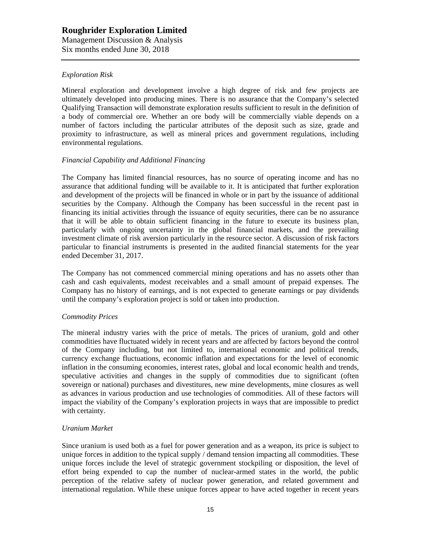## *Exploration Risk*

Mineral exploration and development involve a high degree of risk and few projects are ultimately developed into producing mines. There is no assurance that the Company's selected Qualifying Transaction will demonstrate exploration results sufficient to result in the definition of a body of commercial ore. Whether an ore body will be commercially viable depends on a number of factors including the particular attributes of the deposit such as size, grade and proximity to infrastructure, as well as mineral prices and government regulations, including environmental regulations.

### *Financial Capability and Additional Financing*

The Company has limited financial resources, has no source of operating income and has no assurance that additional funding will be available to it. It is anticipated that further exploration and development of the projects will be financed in whole or in part by the issuance of additional securities by the Company. Although the Company has been successful in the recent past in financing its initial activities through the issuance of equity securities, there can be no assurance that it will be able to obtain sufficient financing in the future to execute its business plan, particularly with ongoing uncertainty in the global financial markets, and the prevailing investment climate of risk aversion particularly in the resource sector. A discussion of risk factors particular to financial instruments is presented in the audited financial statements for the year ended December 31, 2017.

The Company has not commenced commercial mining operations and has no assets other than cash and cash equivalents, modest receivables and a small amount of prepaid expenses. The Company has no history of earnings, and is not expected to generate earnings or pay dividends until the company's exploration project is sold or taken into production.

### *Commodity Prices*

The mineral industry varies with the price of metals. The prices of uranium, gold and other commodities have fluctuated widely in recent years and are affected by factors beyond the control of the Company including, but not limited to, international economic and political trends, currency exchange fluctuations, economic inflation and expectations for the level of economic inflation in the consuming economies, interest rates, global and local economic health and trends, speculative activities and changes in the supply of commodities due to significant (often sovereign or national) purchases and divestitures, new mine developments, mine closures as well as advances in various production and use technologies of commodities. All of these factors will impact the viability of the Company's exploration projects in ways that are impossible to predict with certainty.

#### *Uranium Market*

Since uranium is used both as a fuel for power generation and as a weapon, its price is subject to unique forces in addition to the typical supply / demand tension impacting all commodities. These unique forces include the level of strategic government stockpiling or disposition, the level of effort being expended to cap the number of nuclear-armed states in the world, the public perception of the relative safety of nuclear power generation, and related government and international regulation. While these unique forces appear to have acted together in recent years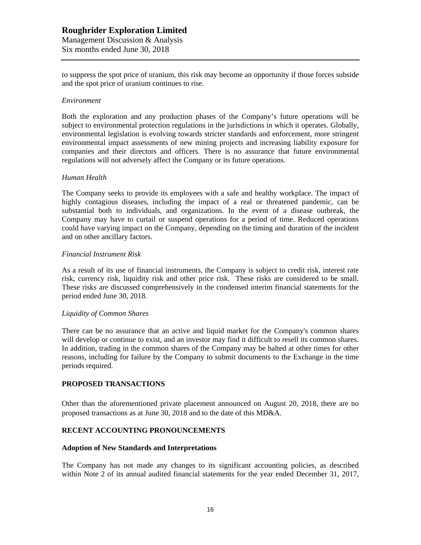to suppress the spot price of uranium, this risk may become an opportunity if those forces subside and the spot price of uranium continues to rise.

#### *Environment*

Both the exploration and any production phases of the Company's future operations will be subject to environmental protection regulations in the jurisdictions in which it operates. Globally, environmental legislation is evolving towards stricter standards and enforcement, more stringent environmental impact assessments of new mining projects and increasing liability exposure for companies and their directors and officers. There is no assurance that future environmental regulations will not adversely affect the Company or its future operations.

#### *Human Health*

The Company seeks to provide its employees with a safe and healthy workplace. The impact of highly contagious diseases, including the impact of a real or threatened pandemic, can be substantial both to individuals, and organizations. In the event of a disease outbreak, the Company may have to curtail or suspend operations for a period of time. Reduced operations could have varying impact on the Company, depending on the timing and duration of the incident and on other ancillary factors.

#### *Financial Instrument Risk*

As a result of its use of financial instruments, the Company is subject to credit risk, interest rate risk, currency risk, liquidity risk and other price risk. These risks are considered to be small. These risks are discussed comprehensively in the condensed interim financial statements for the period ended June 30, 2018.

#### *Liquidity of Common Shares*

There can be no assurance that an active and liquid market for the Company's common shares will develop or continue to exist, and an investor may find it difficult to resell its common shares. In addition, trading in the common shares of the Company may be halted at other times for other reasons, including for failure by the Company to submit documents to the Exchange in the time periods required.

### **PROPOSED TRANSACTIONS**

Other than the aforementioned private placement announced on August 20, 2018, there are no proposed transactions as at June 30, 2018 and to the date of this MD&A.

### **RECENT ACCOUNTING PRONOUNCEMENTS**

#### **Adoption of New Standards and Interpretations**

The Company has not made any changes to its significant accounting policies, as described within Note 2 of its annual audited financial statements for the year ended December 31, 2017,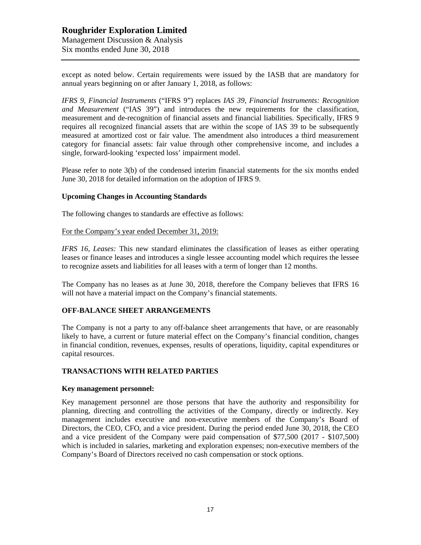except as noted below. Certain requirements were issued by the IASB that are mandatory for annual years beginning on or after January 1, 2018, as follows:

*IFRS 9, Financial Instruments* ("IFRS 9") replaces *IAS 39, Financial Instruments: Recognition and Measurement* ("IAS 39") and introduces the new requirements for the classification, measurement and de-recognition of financial assets and financial liabilities. Specifically, IFRS 9 requires all recognized financial assets that are within the scope of IAS 39 to be subsequently measured at amortized cost or fair value. The amendment also introduces a third measurement category for financial assets: fair value through other comprehensive income, and includes a single, forward-looking 'expected loss' impairment model.

Please refer to note 3(b) of the condensed interim financial statements for the six months ended June 30, 2018 for detailed information on the adoption of IFRS 9.

#### **Upcoming Changes in Accounting Standards**

The following changes to standards are effective as follows:

For the Company's year ended December 31, 2019:

*IFRS 16, Leases:* This new standard eliminates the classification of leases as either operating leases or finance leases and introduces a single lessee accounting model which requires the lessee to recognize assets and liabilities for all leases with a term of longer than 12 months.

The Company has no leases as at June 30, 2018, therefore the Company believes that IFRS 16 will not have a material impact on the Company's financial statements.

### **OFF-BALANCE SHEET ARRANGEMENTS**

The Company is not a party to any off-balance sheet arrangements that have, or are reasonably likely to have, a current or future material effect on the Company's financial condition, changes in financial condition, revenues, expenses, results of operations, liquidity, capital expenditures or capital resources.

### **TRANSACTIONS WITH RELATED PARTIES**

#### **Key management personnel:**

Key management personnel are those persons that have the authority and responsibility for planning, directing and controlling the activities of the Company, directly or indirectly. Key management includes executive and non-executive members of the Company's Board of Directors, the CEO, CFO, and a vice president. During the period ended June 30, 2018, the CEO and a vice president of the Company were paid compensation of \$77,500 (2017 - \$107,500) which is included in salaries, marketing and exploration expenses; non-executive members of the Company's Board of Directors received no cash compensation or stock options.